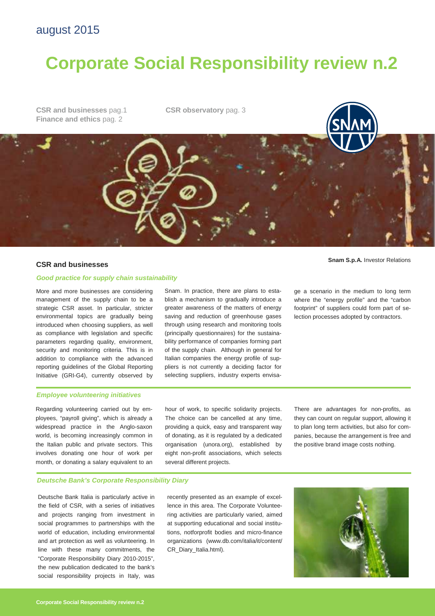## august 2015

# **Corporate Social Responsibility review n.2**

**CSR and businesses** pag.1 **Finance and ethics** pag. 2

**CSR observatory** pag. 3

### **Good practice for supply chain sustainability**

More and more businesses are considering management of the supply chain to be a strategic CSR asset. In particular, stricter environmental topics are gradually being introduced when choosing suppliers, as well as compliance with legislation and specific parameters regarding quality, environment, security and monitoring criteria. This is in addition to compliance with the advanced reporting guidelines of the Global Reporting Initiative (GRI-G4), currently observed by

Snam. In practice, there are plans to establish a mechanism to gradually introduce a greater awareness of the matters of energy saving and reduction of greenhouse gases through using research and monitoring tools (principally questionnaires) for the sustainability performance of companies forming part of the supply chain. Although in general for Italian companies the energy profile of suppliers is not currently a deciding factor for selecting suppliers, industry experts envisa-

**Snam S.p.A.** Investor Relations **CSR and businesses** 

ge a scenario in the medium to long term where the "energy profile" and the "carbon footprint" of suppliers could form part of selection processes adopted by contractors.

### **Employee volunteering initiatives**

Regarding volunteering carried out by employees, "payroll giving", which is already a widespread practice in the Anglo-saxon world, is becoming increasingly common in the Italian public and private sectors. This involves donating one hour of work per month, or donating a salary equivalent to an hour of work, to specific solidarity projects. The choice can be cancelled at any time, providing a quick, easy and transparent way of donating, as it is regulated by a dedicated organisation (unora.org), established by eight non-profit associations, which selects several different projects.

There are advantages for non-profits, as they can count on regular support, allowing it to plan long term activities, but also for companies, because the arrangement is free and the positive brand image costs nothing.

### **Deutsche Bank's Corporate Responsibility Diary**

Deutsche Bank Italia is particularly active in the field of CSR, with a series of initiatives and projects ranging from investment in social programmes to partnerships with the world of education, including environmental and art protection as well as volunteering. In line with these many commitments, the "Corporate Responsibility Diary 2010-2015", the new publication dedicated to the bank's social responsibility projects in Italy, was

recently presented as an example of excellence in this area. The Corporate Volunteering activities are particularly varied, aimed at supporting educational and social institutions, notforprofit bodies and micro-finance organizations (www.db.com/italia/it/content/ CR\_Diary\_Italia.html).

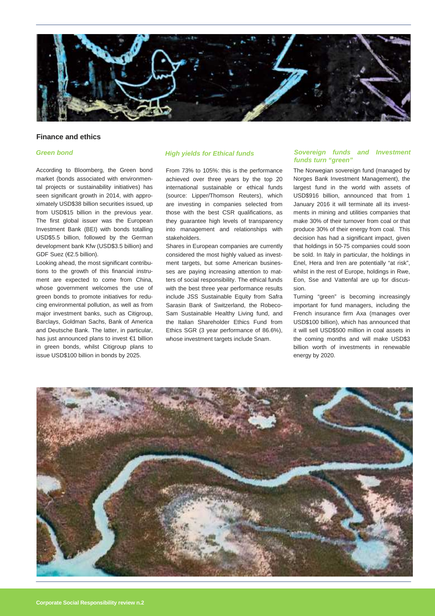

### **Finance and ethics**

### **Green bond**

According to Bloomberg, the Green bond market (bonds associated with environmental projects or sustainability initiatives) has seen significant growth in 2014, with approximately USD\$38 billion securities issued, up from USD\$15 billion in the previous year. The first global issuer was the European Investment Bank (BEI) with bonds totalling USD\$5.5 billion, followed by the German development bank Kfw (USD\$3.5 billion) and GDF Suez (€2.5 billion).

Looking ahead, the most significant contributions to the growth of this financial instrument are expected to come from China, whose government welcomes the use of green bonds to promote initiatives for reducing environmental pollution, as well as from major investment banks, such as Citigroup, Barclays, Goldman Sachs, Bank of America and Deutsche Bank. The latter, in particular, has just announced plans to invest €1 billion in green bonds, whilst Citigroup plans to issue USD\$100 billion in bonds by 2025.

From 73% to 105%: this is the performance achieved over three years by the top 20 international sustainable or ethical funds (source: Lipper/Thomson Reuters), which are investing in companies selected from those with the best CSR qualifications, as they guarantee high levels of transparency into management and relationships with stakeholders.

Shares in European companies are currently considered the most highly valued as investment targets, but some American businesses are paying increasing attention to matters of social responsibility. The ethical funds with the best three year performance results include JSS Sustainable Equity from Safra Sarasin Bank of Switzerland, the Robeco-Sam Sustainable Healthy Living fund, and the Italian Shareholder Ethics Fund from Ethics SGR (3 year performance of 86.6%), whose investment targets include Snam.

### **High yields for Ethical funds Sovereign funds and Investment funds turn "green"**

The Norwegian sovereign fund (managed by Norges Bank Investment Management), the largest fund in the world with assets of USD\$916 billion, announced that from 1 January 2016 it will terminate all its investments in mining and utilities companies that make 30% of their turnover from coal or that produce 30% of their energy from coal. This decision has had a significant impact, given that holdings in 50-75 companies could soon be sold. In Italy in particular, the holdings in Enel, Hera and Iren are potentially "at risk", whilst in the rest of Europe, holdings in Rwe, Eon, Sse and Vattenfal are up for discussion.

Turning "green" is becoming increasingly important for fund managers, including the French insurance firm Axa (manages over USD\$100 billion), which has announced that it will sell USD\$500 million in coal assets in the coming months and will make USD\$3 billion worth of investments in renewable energy by 2020.